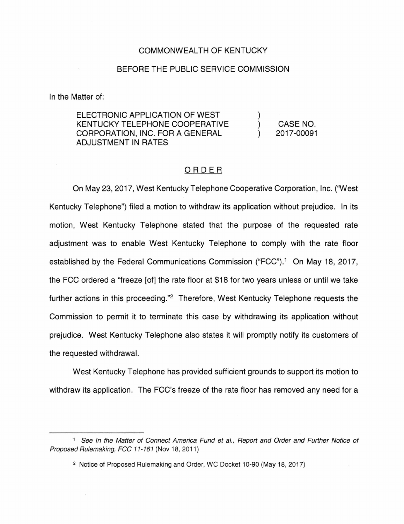## COMMONWEALTH OF KENTUCKY

## BEFORE THE PUBLIC SERVICE COMMISSION

In the Matter of:

ELECTRONIC APPLICATION OF WEST KENTUCKY TELEPHONE COOPERATIVE CORPORATION, INC. FOR A GENERAL ADJUSTMENT IN RATES CASE NO. 2017-00091

## ORDER

On May 23, 2017, West Kentucky Telephone Cooperative Corporation, Inc. ('West Kentucky Telephone") filed a motion to withdraw its application without prejudice. In its motion, West Kentucky Telephone stated that the purpose of the requested rate adjustment was to enable West Kentucky Telephone to comply with the rate floor established by the Federal Communications Commission ("FCC").<sup>1</sup> On May 18, 2017, the FCC ordered a "freeze [of] the rate floor at \$18 for two years unless or until we take further actions in this proceeding."2 Therefore, West Kentucky Telephone requests the Commission to permit it to terminate this case by withdrawing its application without prejudice. West Kentucky Telephone also states it will promptly notify its customers of the requested withdrawal.

West Kentucky Telephone has provided sufficient grounds to support its motion to withdraw its application. The FCC's freeze of the rate floor has removed any need for a

<sup>&</sup>lt;sup>1</sup> See In the Matter of Connect America Fund et al., Report and Order and Further Notice of Proposed Rulemaking, FCC 11-161 (Nov 18, 2011)

<sup>2</sup> Notice of Proposed Rulemaking and Order, WC Docket 10-90 (May 18, 2017)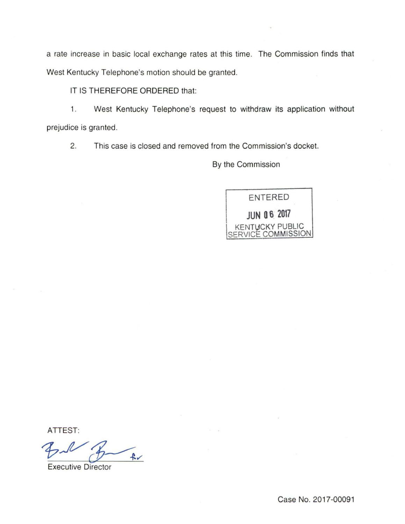a rate increase in basic local exchange rates at this time. The Commission finds that West Kentucky Telephone's motion should be granted.

## IT IS THEREFORE ORDERED that:

1. West Kentucky Telephone's request to withdraw its application without prejudice is granted.

2. This case is closed and removed from the Commission's docket.

By the Commission

ENTERED **JUN 0 6 2017**  KENTUCKY PUBLIC SERVICE COMMISSION

ATTEST:

*17.J/'M.,* 

Executive Director